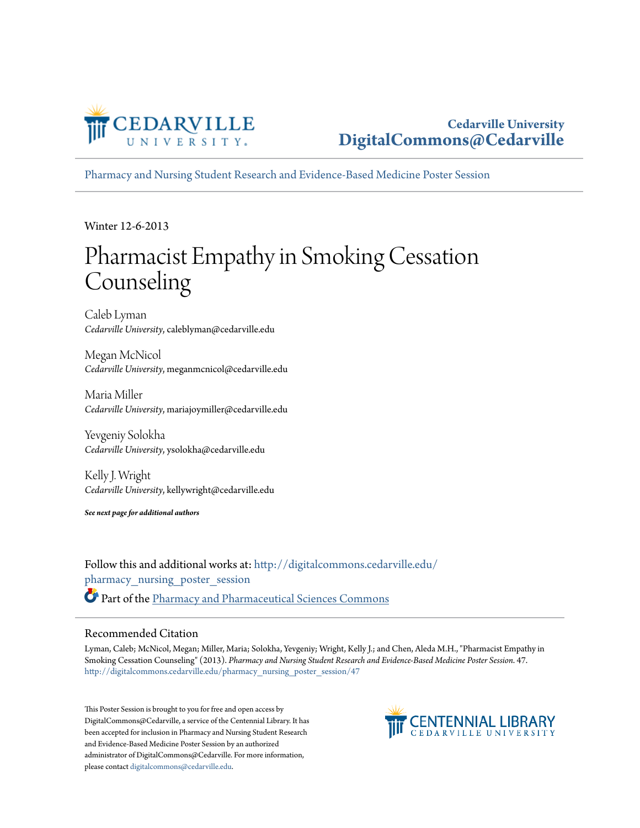

## **Cedarville University [DigitalCommons@Cedarville](http://digitalcommons.cedarville.edu?utm_source=digitalcommons.cedarville.edu%2Fpharmacy_nursing_poster_session%2F47&utm_medium=PDF&utm_campaign=PDFCoverPages)**

[Pharmacy and Nursing Student Research and Evidence-Based Medicine Poster Session](http://digitalcommons.cedarville.edu/pharmacy_nursing_poster_session?utm_source=digitalcommons.cedarville.edu%2Fpharmacy_nursing_poster_session%2F47&utm_medium=PDF&utm_campaign=PDFCoverPages)

Winter 12-6-2013

# Pharmacist Empathy in Smoking Cessation Counseling

Caleb Lyman *Cedarville University*, caleblyman@cedarville.edu

Megan McNicol *Cedarville University*, meganmcnicol@cedarville.edu

Maria Miller *Cedarville University*, mariajoymiller@cedarville.edu

Yevgeniy Solokha *Cedarville University*, ysolokha@cedarville.edu

Kelly J. Wright *Cedarville University*, kellywright@cedarville.edu

*See next page for additional authors*

Follow this and additional works at: [http://digitalcommons.cedarville.edu/](http://digitalcommons.cedarville.edu/pharmacy_nursing_poster_session?utm_source=digitalcommons.cedarville.edu%2Fpharmacy_nursing_poster_session%2F47&utm_medium=PDF&utm_campaign=PDFCoverPages) [pharmacy\\_nursing\\_poster\\_session](http://digitalcommons.cedarville.edu/pharmacy_nursing_poster_session?utm_source=digitalcommons.cedarville.edu%2Fpharmacy_nursing_poster_session%2F47&utm_medium=PDF&utm_campaign=PDFCoverPages) Part of the [Pharmacy and Pharmaceutical Sciences Commons](http://network.bepress.com/hgg/discipline/731?utm_source=digitalcommons.cedarville.edu%2Fpharmacy_nursing_poster_session%2F47&utm_medium=PDF&utm_campaign=PDFCoverPages)

### Recommended Citation

Lyman, Caleb; McNicol, Megan; Miller, Maria; Solokha, Yevgeniy; Wright, Kelly J.; and Chen, Aleda M.H., "Pharmacist Empathy in Smoking Cessation Counseling" (2013). *Pharmacy and Nursing Student Research and Evidence-Based Medicine Poster Session*. 47. [http://digitalcommons.cedarville.edu/pharmacy\\_nursing\\_poster\\_session/47](http://digitalcommons.cedarville.edu/pharmacy_nursing_poster_session/47?utm_source=digitalcommons.cedarville.edu%2Fpharmacy_nursing_poster_session%2F47&utm_medium=PDF&utm_campaign=PDFCoverPages)

This Poster Session is brought to you for free and open access by DigitalCommons@Cedarville, a service of the Centennial Library. It has been accepted for inclusion in Pharmacy and Nursing Student Research and Evidence-Based Medicine Poster Session by an authorized administrator of DigitalCommons@Cedarville. For more information, please contact [digitalcommons@cedarville.edu.](mailto:digitalcommons@cedarville.edu)

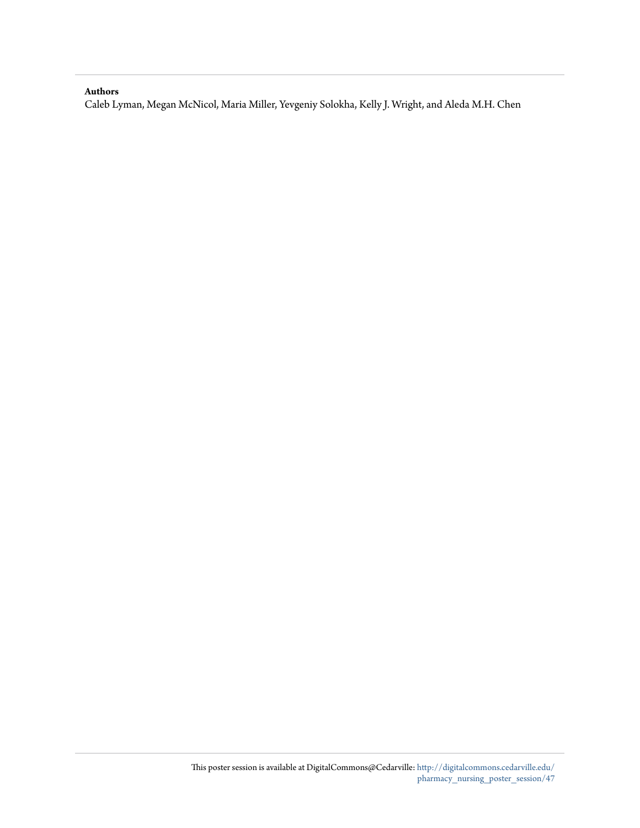#### **Authors**

Caleb Lyman, Megan McNicol, Maria Miller, Yevgeniy Solokha, Kelly J. Wright, and Aleda M.H. Chen